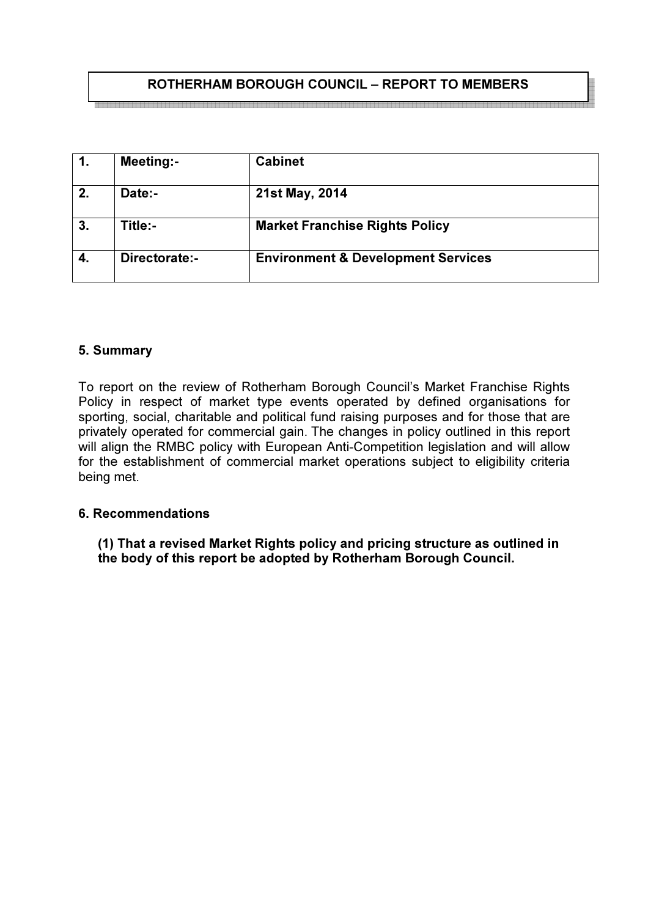# ROTHERHAM BOROUGH COUNCIL – REPORT TO MEMBERS

| $\mathbf{1}$ . | <b>Meeting:-</b> | <b>Cabinet</b>                                |
|----------------|------------------|-----------------------------------------------|
| 2.             | Date:-           | 21st May, 2014                                |
| 3.             | Title:-          | <b>Market Franchise Rights Policy</b>         |
|                | Directorate:-    | <b>Environment &amp; Development Services</b> |

### 5. Summary

To report on the review of Rotherham Borough Council's Market Franchise Rights Policy in respect of market type events operated by defined organisations for sporting, social, charitable and political fund raising purposes and for those that are privately operated for commercial gain. The changes in policy outlined in this report will align the RMBC policy with European Anti-Competition legislation and will allow for the establishment of commercial market operations subject to eligibility criteria being met.

### 6. Recommendations

(1) That a revised Market Rights policy and pricing structure as outlined in the body of this report be adopted by Rotherham Borough Council.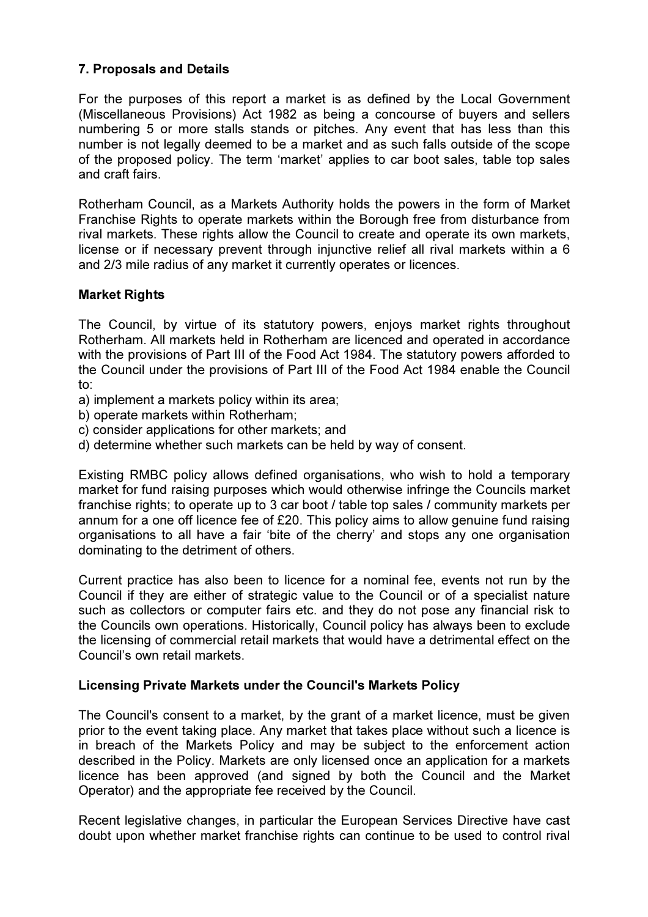# 7. Proposals and Details

For the purposes of this report a market is as defined by the Local Government (Miscellaneous Provisions) Act 1982 as being a concourse of buyers and sellers numbering 5 or more stalls stands or pitches. Any event that has less than this number is not legally deemed to be a market and as such falls outside of the scope of the proposed policy. The term 'market' applies to car boot sales, table top sales and craft fairs.

Rotherham Council, as a Markets Authority holds the powers in the form of Market Franchise Rights to operate markets within the Borough free from disturbance from rival markets. These rights allow the Council to create and operate its own markets, license or if necessary prevent through injunctive relief all rival markets within a 6 and 2/3 mile radius of any market it currently operates or licences.

### Market Rights

The Council, by virtue of its statutory powers, enjoys market rights throughout Rotherham. All markets held in Rotherham are licenced and operated in accordance with the provisions of Part III of the Food Act 1984. The statutory powers afforded to the Council under the provisions of Part III of the Food Act 1984 enable the Council to:

- a) implement a markets policy within its area;
- b) operate markets within Rotherham;
- c) consider applications for other markets; and
- d) determine whether such markets can be held by way of consent.

Existing RMBC policy allows defined organisations, who wish to hold a temporary market for fund raising purposes which would otherwise infringe the Councils market franchise rights; to operate up to 3 car boot / table top sales / community markets per annum for a one off licence fee of £20. This policy aims to allow genuine fund raising organisations to all have a fair 'bite of the cherry' and stops any one organisation dominating to the detriment of others.

Current practice has also been to licence for a nominal fee, events not run by the Council if they are either of strategic value to the Council or of a specialist nature such as collectors or computer fairs etc. and they do not pose any financial risk to the Councils own operations. Historically, Council policy has always been to exclude the licensing of commercial retail markets that would have a detrimental effect on the Council's own retail markets.

### Licensing Private Markets under the Council's Markets Policy

The Council's consent to a market, by the grant of a market licence, must be given prior to the event taking place. Any market that takes place without such a licence is in breach of the Markets Policy and may be subject to the enforcement action described in the Policy. Markets are only licensed once an application for a markets licence has been approved (and signed by both the Council and the Market Operator) and the appropriate fee received by the Council.

Recent legislative changes, in particular the European Services Directive have cast doubt upon whether market franchise rights can continue to be used to control rival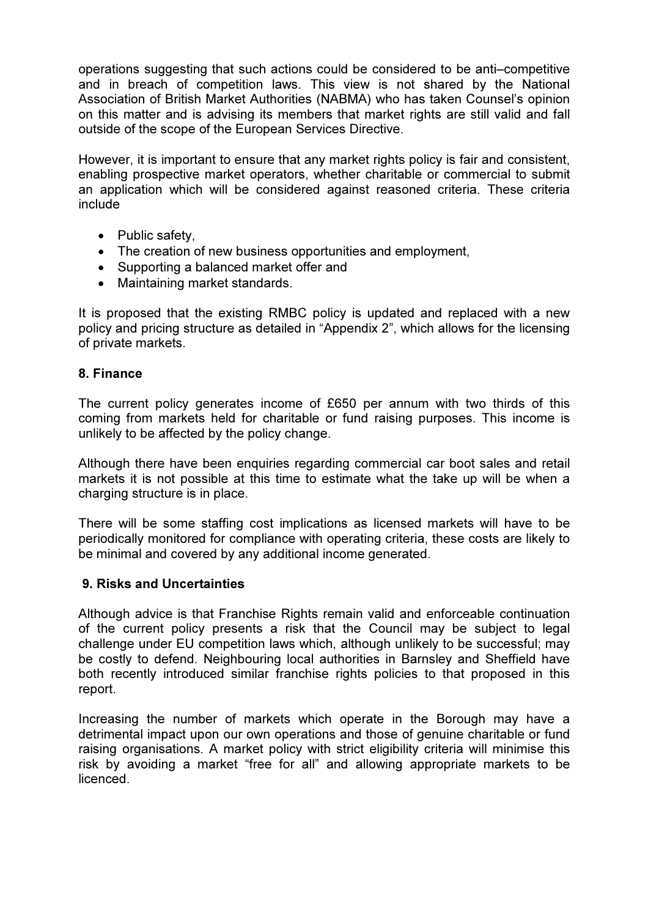operations suggesting that such actions could be considered to be anti–competitive and in breach of competition laws. This view is not shared by the National Association of British Market Authorities (NABMA) who has taken Counsel's opinion on this matter and is advising its members that market rights are still valid and fall outside of the scope of the European Services Directive.

However, it is important to ensure that any market rights policy is fair and consistent, enabling prospective market operators, whether charitable or commercial to submit an application which will be considered against reasoned criteria. These criteria include

- Public safety.
- The creation of new business opportunities and employment,
- Supporting a balanced market offer and
- Maintaining market standards.

It is proposed that the existing RMBC policy is updated and replaced with a new policy and pricing structure as detailed in "Appendix 2", which allows for the licensing of private markets.

### 8. Finance

The current policy generates income of £650 per annum with two thirds of this coming from markets held for charitable or fund raising purposes. This income is unlikely to be affected by the policy change.

Although there have been enquiries regarding commercial car boot sales and retail markets it is not possible at this time to estimate what the take up will be when a charging structure is in place.

There will be some staffing cost implications as licensed markets will have to be periodically monitored for compliance with operating criteria, these costs are likely to be minimal and covered by any additional income generated.

### 9. Risks and Uncertainties

Although advice is that Franchise Rights remain valid and enforceable continuation of the current policy presents a risk that the Council may be subject to legal challenge under EU competition laws which, although unlikely to be successful; may be costly to defend. Neighbouring local authorities in Barnsley and Sheffield have both recently introduced similar franchise rights policies to that proposed in this report.

Increasing the number of markets which operate in the Borough may have a detrimental impact upon our own operations and those of genuine charitable or fund raising organisations. A market policy with strict eligibility criteria will minimise this risk by avoiding a market "free for all" and allowing appropriate markets to be licenced.